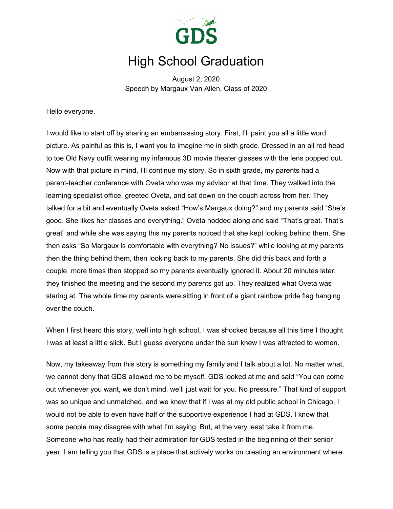

## High School Graduation

August 2, 2020 Speech by Margaux Van Allen, Class of 2020

Hello everyone.

I would like to start off by sharing an embarrassing story. First, I'll paint you all a little word picture. As painful as this is, I want you to imagine me in sixth grade. Dressed in an all red head to toe Old Navy outfit wearing my infamous 3D movie theater glasses with the lens popped out. Now with that picture in mind, I'll continue my story. So in sixth grade, my parents had a parent-teacher conference with Oveta who was my advisor at that time. They walked into the learning specialist office, greeted Oveta, and sat down on the couch across from her. They talked for a bit and eventually Oveta asked "How's Margaux doing?" and my parents said "She's good. She likes her classes and everything." Oveta nodded along and said "That's great. That's great" and while she was saying this my parents noticed that she kept looking behind them. She then asks "So Margaux is comfortable with everything? No issues?" while looking at my parents then the thing behind them, then looking back to my parents. She did this back and forth a couple more times then stopped so my parents eventually ignored it. About 20 minutes later, they finished the meeting and the second my parents got up. They realized what Oveta was staring at. The whole time my parents were sitting in front of a giant rainbow pride flag hanging over the couch.

When I first heard this story, well into high school, I was shocked because all this time I thought I was at least a little slick. But I guess everyone under the sun knew I was attracted to women.

Now, my takeaway from this story is something my family and I talk about a lot. No matter what, we cannot deny that GDS allowed me to be myself. GDS looked at me and said "You can come out whenever you want, we don't mind, we'll just wait for you. No pressure." That kind of support was so unique and unmatched, and we knew that if I was at my old public school in Chicago, I would not be able to even have half of the supportive experience I had at GDS. I know that some people may disagree with what I'm saying. But, at the very least take it from me. Someone who has really had their admiration for GDS tested in the beginning of their senior year, I am telling you that GDS is a place that actively works on creating an environment where